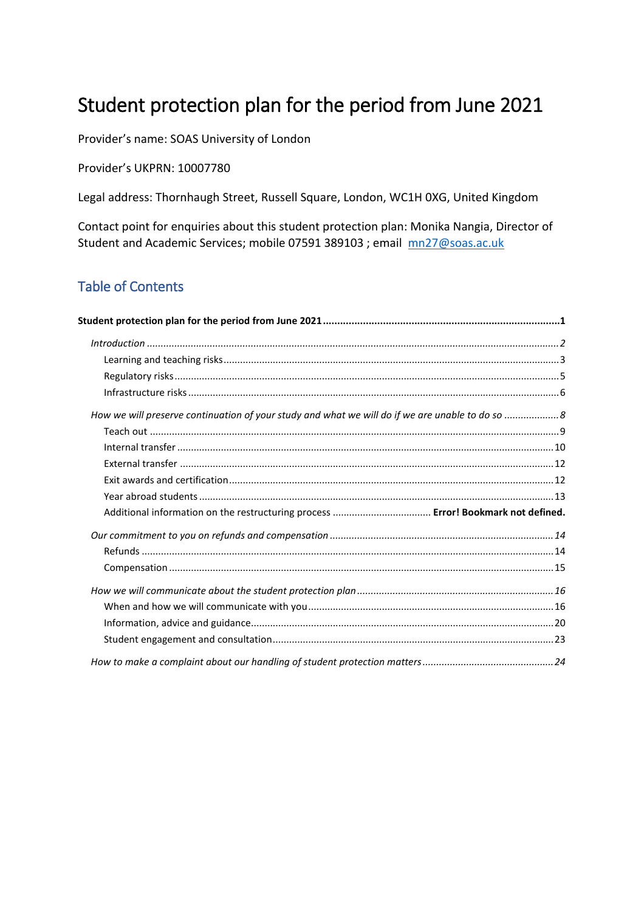# <span id="page-0-0"></span>Student protection plan for the period from June 2021

Provider's name: SOAS University of London

Provider's UKPRN: 10007780

Legal address: Thornhaugh Street, Russell Square, London, WC1H 0XG, United Kingdom

Contact point for enquiries about this student protection plan: Monika Nangia, Director of Student and Academic Services; mobile 07591 389103 ; email [mn27@soas.ac.uk](mailto:mn27@soas.ac.uk)

### Table of Contents

<span id="page-0-1"></span>

| Student protection plan for the period from June 2021 …………………………………………………………………………1             |  |
|-------------------------------------------------------------------------------------------------|--|
|                                                                                                 |  |
|                                                                                                 |  |
|                                                                                                 |  |
|                                                                                                 |  |
| How we will preserve continuation of your study and what we will do if we are unable to do so 8 |  |
|                                                                                                 |  |
|                                                                                                 |  |
|                                                                                                 |  |
|                                                                                                 |  |
|                                                                                                 |  |
|                                                                                                 |  |
|                                                                                                 |  |
|                                                                                                 |  |
|                                                                                                 |  |
|                                                                                                 |  |
|                                                                                                 |  |
|                                                                                                 |  |
|                                                                                                 |  |
|                                                                                                 |  |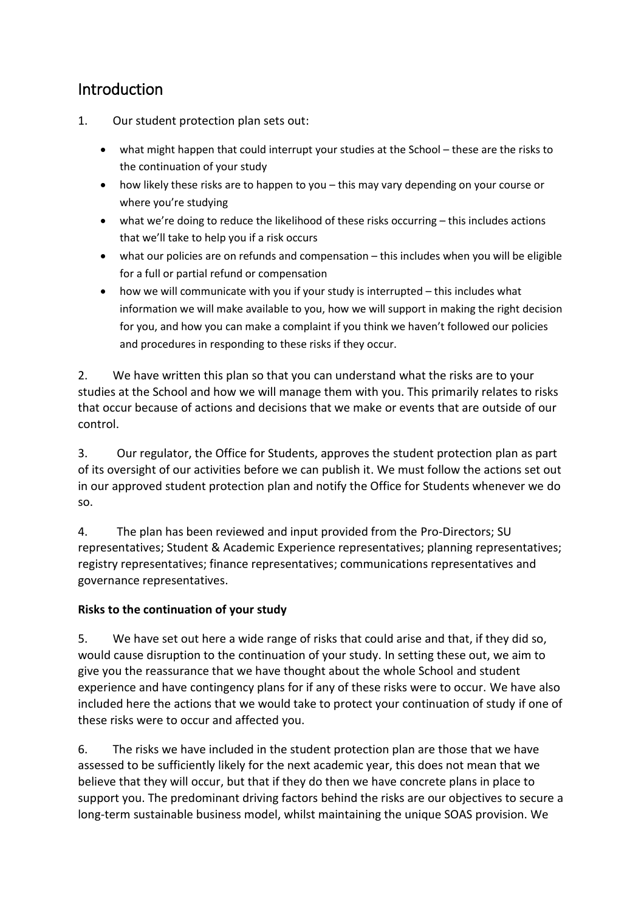# Introduction

- 1. Our student protection plan sets out:
	- what might happen that could interrupt your studies at the School these are the risks to the continuation of your study
	- how likely these risks are to happen to you this may vary depending on your course or where you're studying
	- what we're doing to reduce the likelihood of these risks occurring this includes actions that we'll take to help you if a risk occurs
	- what our policies are on refunds and compensation this includes when you will be eligible for a full or partial refund or compensation
	- how we will communicate with you if your study is interrupted this includes what information we will make available to you, how we will support in making the right decision for you, and how you can make a complaint if you think we haven't followed our policies and procedures in responding to these risks if they occur.

2. We have written this plan so that you can understand what the risks are to your studies at the School and how we will manage them with you. This primarily relates to risks that occur because of actions and decisions that we make or events that are outside of our control.

3. Our regulator, the Office for Students, approves the student protection plan as part of its oversight of our activities before we can publish it. We must follow the actions set out in our approved student protection plan and notify the Office for Students whenever we do so.

4. The plan has been reviewed and input provided from the Pro-Directors; SU representatives; Student & Academic Experience representatives; planning representatives; registry representatives; finance representatives; communications representatives and governance representatives.

#### **Risks to the continuation of your study**

5. We have set out here a wide range of risks that could arise and that, if they did so, would cause disruption to the continuation of your study. In setting these out, we aim to give you the reassurance that we have thought about the whole School and student experience and have contingency plans for if any of these risks were to occur. We have also included here the actions that we would take to protect your continuation of study if one of these risks were to occur and affected you.

6. The risks we have included in the student protection plan are those that we have assessed to be sufficiently likely for the next academic year, this does not mean that we believe that they will occur, but that if they do then we have concrete plans in place to support you. The predominant driving factors behind the risks are our objectives to secure a long-term sustainable business model, whilst maintaining the unique SOAS provision. We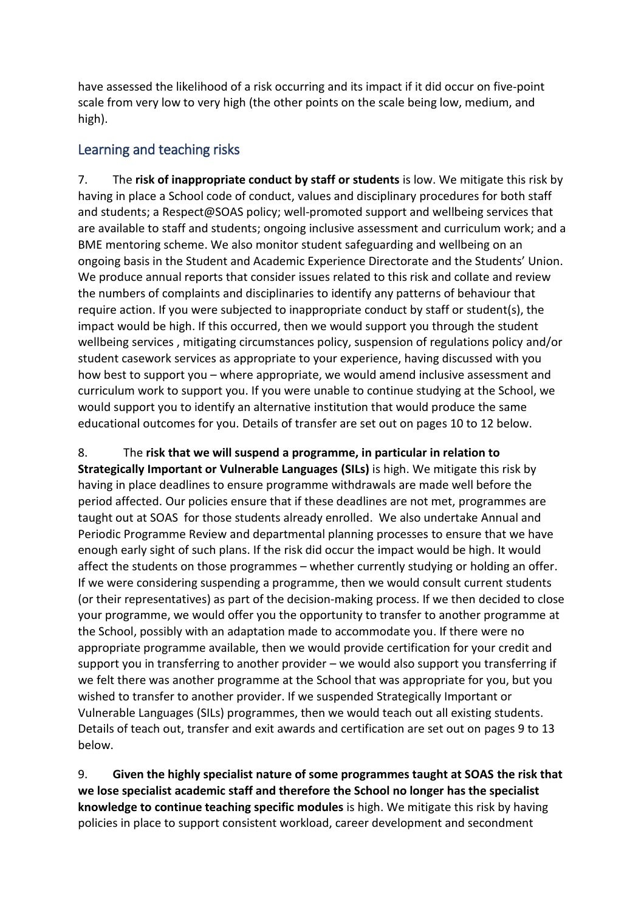have assessed the likelihood of a risk occurring and its impact if it did occur on five-point scale from very low to very high (the other points on the scale being low, medium, and high).

#### <span id="page-2-0"></span>Learning and teaching risks

<span id="page-2-2"></span>7. The **risk of inappropriate conduct by staff or students** is low. We mitigate this risk by having in place a School code of conduct, values and disciplinary procedures for both staff and students; a Respect@SOAS policy; well-promoted support and wellbeing services that are available to staff and students; ongoing inclusive assessment and curriculum work; and a BME mentoring scheme. We also monitor student safeguarding and wellbeing on an ongoing basis in the Student and Academic Experience Directorate and the Students' Union. We produce annual reports that consider issues related to this risk and collate and review the numbers of complaints and disciplinaries to identify any patterns of behaviour that require action. If you were subjected to inappropriate conduct by staff or student(s), the impact would be high. If this occurred, then we would support you through the student wellbeing services , mitigating circumstances policy, suspension of regulations policy and/or student casework services as appropriate to your experience, having discussed with you how best to support you – where appropriate, we would amend inclusive assessment and curriculum work to support you. If you were unable to continue studying at the School, we would support you to identify an alternative institution that would produce the same educational outcomes for you. Details of transfer are set out on pages 10 to 12 below.

<span id="page-2-1"></span>8. The **risk that we will suspend a programme, in particular in relation to Strategically Important or Vulnerable Languages (SILs)** is high. We mitigate this risk by having in place deadlines to ensure programme withdrawals are made well before the period affected. Our policies ensure that if these deadlines are not met, programmes are taught out at SOAS for those students already enrolled. We also undertake Annual and Periodic Programme Review and departmental planning processes to ensure that we have enough early sight of such plans. If the risk did occur the impact would be high. It would affect the students on those programmes – whether currently studying or holding an offer. If we were considering suspending a programme, then we would consult current students (or their representatives) as part of the decision-making process. If we then decided to close your programme, we would offer you the opportunity to transfer to another programme at the School, possibly with an adaptation made to accommodate you. If there were no appropriate programme available, then we would provide certification for your credit and support you in transferring to another provider – we would also support you transferring if we felt there was another programme at the School that was appropriate for you, but you wished to transfer to another provider. If we suspended Strategically Important or Vulnerable Languages (SILs) programmes, then we would teach out all existing students. Details of teach out, transfer and exit awards and certification are set out on pages [9](#page-8-1) to 13 below.

9. **Given the highly specialist nature of some programmes taught at SOAS the risk that we lose specialist academic staff and therefore the School no longer has the specialist knowledge to continue teaching specific modules** is high. We mitigate this risk by having policies in place to support consistent workload, career development and secondment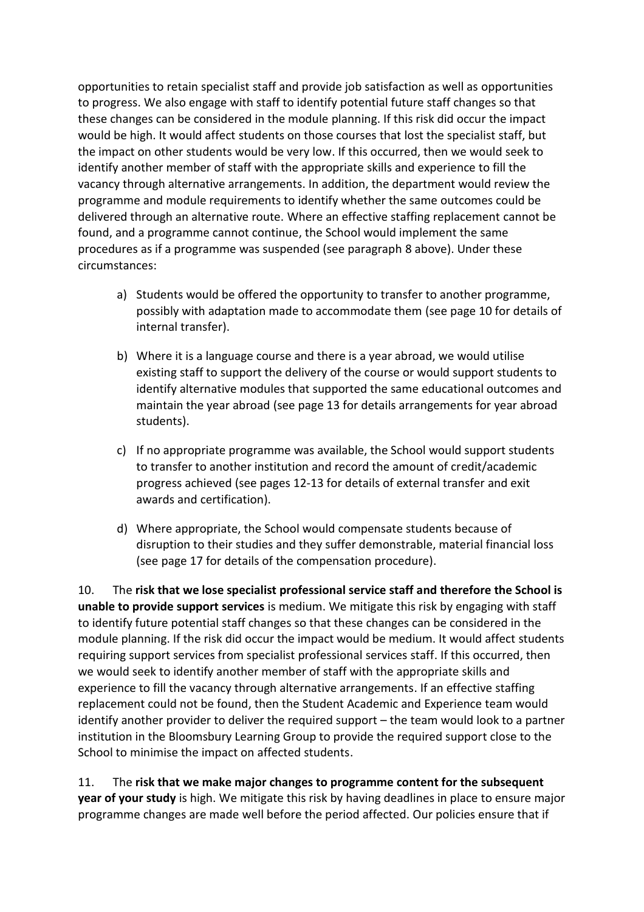opportunities to retain specialist staff and provide job satisfaction as well as opportunities to progress. We also engage with staff to identify potential future staff changes so that these changes can be considered in the module planning. If this risk did occur the impact would be high. It would affect students on those courses that lost the specialist staff, but the impact on other students would be very low. If this occurred, then we would seek to identify another member of staff with the appropriate skills and experience to fill the vacancy through alternative arrangements. In addition, the department would review the programme and module requirements to identify whether the same outcomes could be delivered through an alternative route. Where an effective staffing replacement cannot be found, and a programme cannot continue, the School would implement the same procedures as if a programme was suspended (see paragraph [8](#page-2-1) above). Under these circumstances:

- a) Students would be offered the opportunity to transfer to another programme, possibly with adaptation made to accommodate them (see page 10 for details of internal transfer).
- b) Where it is a language course and there is a year abroad, we would utilise existing staff to support the delivery of the course or would support students to identify alternative modules that supported the same educational outcomes and maintain the year abroad (see pag[e 13](#page-12-1) for details arrangements for year abroad students).
- c) If no appropriate programme was available, the School would support students to transfer to another institution and record the amount of credit/academic progress achieved (see pages 12-13 for details of external transfer and exit awards and certification).
- d) Where appropriate, the School would compensate students because of disruption to their studies and they suffer demonstrable, material financial loss (see page 17 for details of the compensation procedure).

10. The **risk that we lose specialist professional service staff and therefore the School is unable to provide support services** is medium. We mitigate this risk by engaging with staff to identify future potential staff changes so that these changes can be considered in the module planning. If the risk did occur the impact would be medium. It would affect students requiring support services from specialist professional services staff. If this occurred, then we would seek to identify another member of staff with the appropriate skills and experience to fill the vacancy through alternative arrangements. If an effective staffing replacement could not be found, then the Student Academic and Experience team would identify another provider to deliver the required support – the team would look to a partner institution in the Bloomsbury Learning Group to provide the required support close to the School to minimise the impact on affected students.

11. The **risk that we make major changes to programme content for the subsequent year of your study** is high. We mitigate this risk by having deadlines in place to ensure major programme changes are made well before the period affected. Our policies ensure that if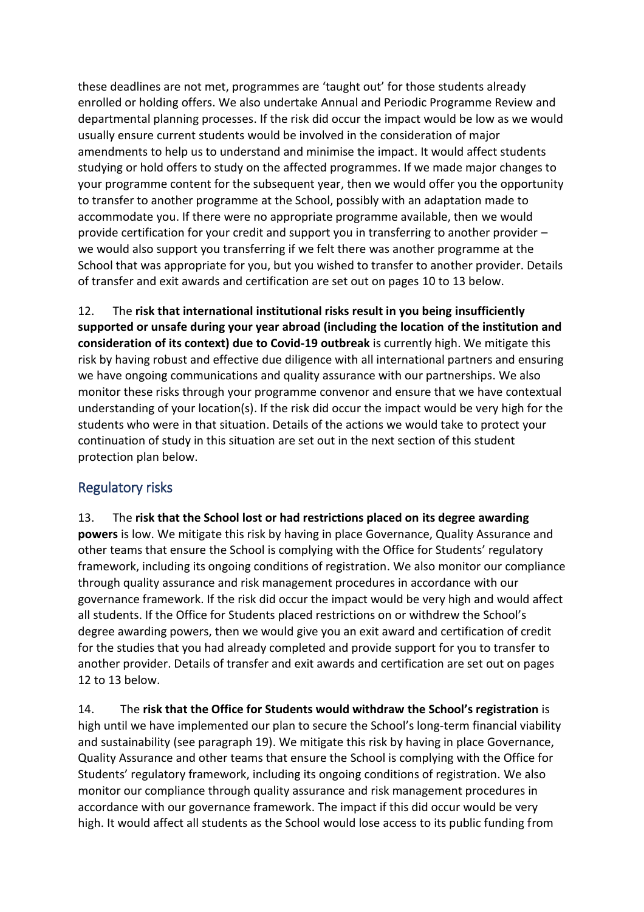these deadlines are not met, programmes are 'taught out' for those students already enrolled or holding offers. We also undertake Annual and Periodic Programme Review and departmental planning processes. If the risk did occur the impact would be low as we would usually ensure current students would be involved in the consideration of major amendments to help us to understand and minimise the impact. It would affect students studying or hold offers to study on the affected programmes. If we made major changes to your programme content for the subsequent year, then we would offer you the opportunity to transfer to another programme at the School, possibly with an adaptation made to accommodate you. If there were no appropriate programme available, then we would provide certification for your credit and support you in transferring to another provider – we would also support you transferring if we felt there was another programme at the School that was appropriate for you, but you wished to transfer to another provider. Details of transfer and exit awards and certification are set out on pages 10 to 13 below.

12. The **risk that international institutional risks result in you being insufficiently supported or unsafe during your year abroad (including the location of the institution and consideration of its context) due to Covid-19 outbreak** is currently high. We mitigate this risk by having robust and effective due diligence with all international partners and ensuring we have ongoing communications and quality assurance with our partnerships. We also monitor these risks through your programme convenor and ensure that we have contextual understanding of your location(s). If the risk did occur the impact would be very high for the students who were in that situation. Details of the actions we would take to protect your continuation of study in this situation are set out in the next section of this student protection plan below.

#### <span id="page-4-0"></span>Regulatory risks

13. The **risk that the School lost or had restrictions placed on its degree awarding powers** is low. We mitigate this risk by having in place Governance, Quality Assurance and other teams that ensure the School is complying with the Office for Students' regulatory framework, including its ongoing conditions of registration. We also monitor our compliance through quality assurance and risk management procedures in accordance with our governance framework. If the risk did occur the impact would be very high and would affect all students. If the Office for Students placed restrictions on or withdrew the School's degree awarding powers, then we would give you an exit award and certification of credit for the studies that you had already completed and provide support for you to transfer to another provider. Details of transfer and exit awards and certification are set out on pages 12 to 13 below.

14. The **risk that the Office for Students would withdraw the School's registration** is high until we have implemented our plan to secure the School's long-term financial viability and sustainability (see paragraph 19). We mitigate this risk by having in place Governance, Quality Assurance and other teams that ensure the School is complying with the Office for Students' regulatory framework, including its ongoing conditions of registration. We also monitor our compliance through quality assurance and risk management procedures in accordance with our governance framework. The impact if this did occur would be very high. It would affect all students as the School would lose access to its public funding from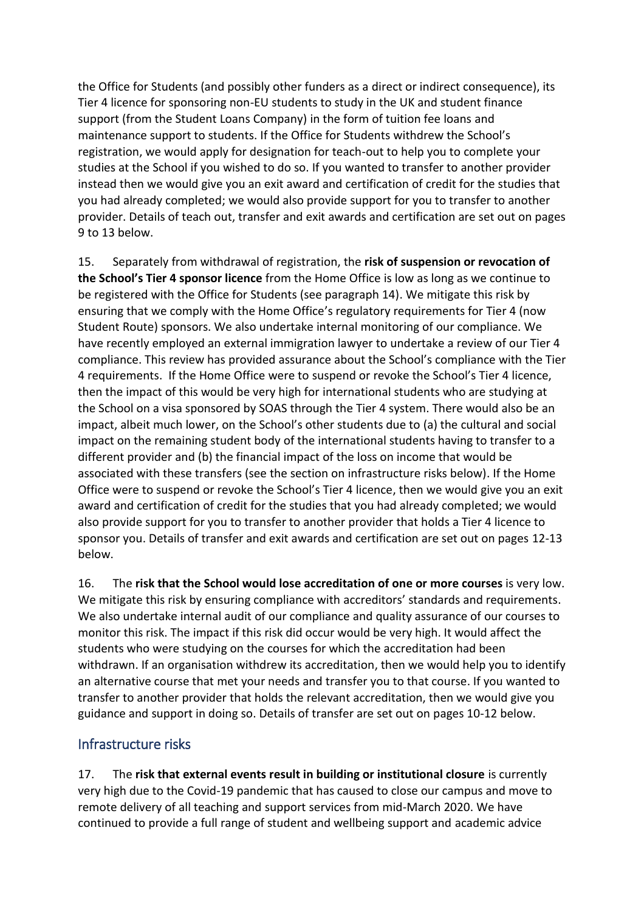the Office for Students (and possibly other funders as a direct or indirect consequence), its Tier 4 licence for sponsoring non-EU students to study in the UK and student finance support (from the Student Loans Company) in the form of tuition fee loans and maintenance support to students. If the Office for Students withdrew the School's registration, we would apply for designation for teach-out to help you to complete your studies at the School if you wished to do so. If you wanted to transfer to another provider instead then we would give you an exit award and certification of credit for the studies that you had already completed; we would also provide support for you to transfer to another provider. Details of teach out, transfer and exit awards and certification are set out on pages 9 to 13 below.

15. Separately from withdrawal of registration, the **risk of suspension or revocation of the School's Tier 4 sponsor licence** from the Home Office is low as long as we continue to be registered with the Office for Students (see paragraph 14). We mitigate this risk by ensuring that we comply with the Home Office's regulatory requirements for Tier 4 (now Student Route) sponsors. We also undertake internal monitoring of our compliance. We have recently employed an external immigration lawyer to undertake a review of our Tier 4 compliance. This review has provided assurance about the School's compliance with the Tier 4 requirements. If the Home Office were to suspend or revoke the School's Tier 4 licence, then the impact of this would be very high for international students who are studying at the School on a visa sponsored by SOAS through the Tier 4 system. There would also be an impact, albeit much lower, on the School's other students due to (a) the cultural and social impact on the remaining student body of the international students having to transfer to a different provider and (b) the financial impact of the loss on income that would be associated with these transfers (see the section on infrastructure risks below). If the Home Office were to suspend or revoke the School's Tier 4 licence, then we would give you an exit award and certification of credit for the studies that you had already completed; we would also provide support for you to transfer to another provider that holds a Tier 4 licence to sponsor you. Details of transfer and exit awards and certification are set out on pages 12-13 below.

16. The **risk that the School would lose accreditation of one or more courses** is very low. We mitigate this risk by ensuring compliance with accreditors' standards and requirements. We also undertake internal audit of our compliance and quality assurance of our courses to monitor this risk. The impact if this risk did occur would be very high. It would affect the students who were studying on the courses for which the accreditation had been withdrawn. If an organisation withdrew its accreditation, then we would help you to identify an alternative course that met your needs and transfer you to that course. If you wanted to transfer to another provider that holds the relevant accreditation, then we would give you guidance and support in doing so. Details of transfer are set out on pages 10-12 below.

#### <span id="page-5-0"></span>Infrastructure risks

17. The **risk that external events result in building or institutional closure** is currently very high due to the Covid-19 pandemic that has caused to close our campus and move to remote delivery of all teaching and support services from mid-March 2020. We have continued to provide a full range of student and wellbeing support and academic advice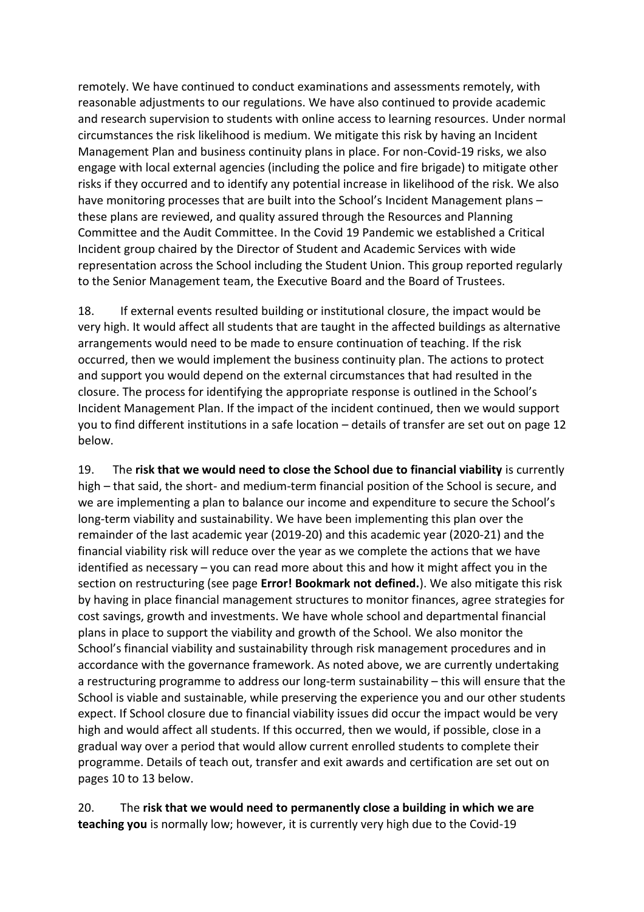remotely. We have continued to conduct examinations and assessments remotely, with reasonable adjustments to our regulations. We have also continued to provide academic and research supervision to students with online access to learning resources. Under normal circumstances the risk likelihood is medium. We mitigate this risk by having an Incident Management Plan and business continuity plans in place. For non-Covid-19 risks, we also engage with local external agencies (including the police and fire brigade) to mitigate other risks if they occurred and to identify any potential increase in likelihood of the risk. We also have monitoring processes that are built into the School's Incident Management plans – these plans are reviewed, and quality assured through the Resources and Planning Committee and the Audit Committee. In the Covid 19 Pandemic we established a Critical Incident group chaired by the Director of Student and Academic Services with wide representation across the School including the Student Union. This group reported regularly to the Senior Management team, the Executive Board and the Board of Trustees.

18. If external events resulted building or institutional closure, the impact would be very high. It would affect all students that are taught in the affected buildings as alternative arrangements would need to be made to ensure continuation of teaching. If the risk occurred, then we would implement the business continuity plan. The actions to protect and support you would depend on the external circumstances that had resulted in the closure. The process for identifying the appropriate response is outlined in the School's Incident Management Plan. If the impact of the incident continued, then we would support you to find different institutions in a safe location – details of transfer are set out on page 12 below.

19. The **risk that we would need to close the School due to financial viability** is currently high – that said, the short- and medium-term financial position of the School is secure, and we are implementing a plan to balance our income and expenditure to secure the School's long-term viability and sustainability. We have been implementing this plan over the remainder of the last academic year (2019-20) and this academic year (2020-21) and the financial viability risk will reduce over the year as we complete the actions that we have identified as necessary – you can read more about this and how it might affect you in the section on restructuring (see page **Error! Bookmark not defined.**). We also mitigate this risk by having in place financial management structures to monitor finances, agree strategies for cost savings, growth and investments. We have whole school and departmental financial plans in place to support the viability and growth of the School. We also monitor the School's financial viability and sustainability through risk management procedures and in accordance with the governance framework. As noted above, we are currently undertaking a restructuring programme to address our long-term sustainability – this will ensure that the School is viable and sustainable, while preserving the experience you and our other students expect. If School closure due to financial viability issues did occur the impact would be very high and would affect all students. If this occurred, then we would, if possible, close in a gradual way over a period that would allow current enrolled students to complete their programme. Details of teach out, transfer and exit awards and certification are set out on pages 10 to 13 below.

20. The **risk that we would need to permanently close a building in which we are teaching you** is normally low; however, it is currently very high due to the Covid-19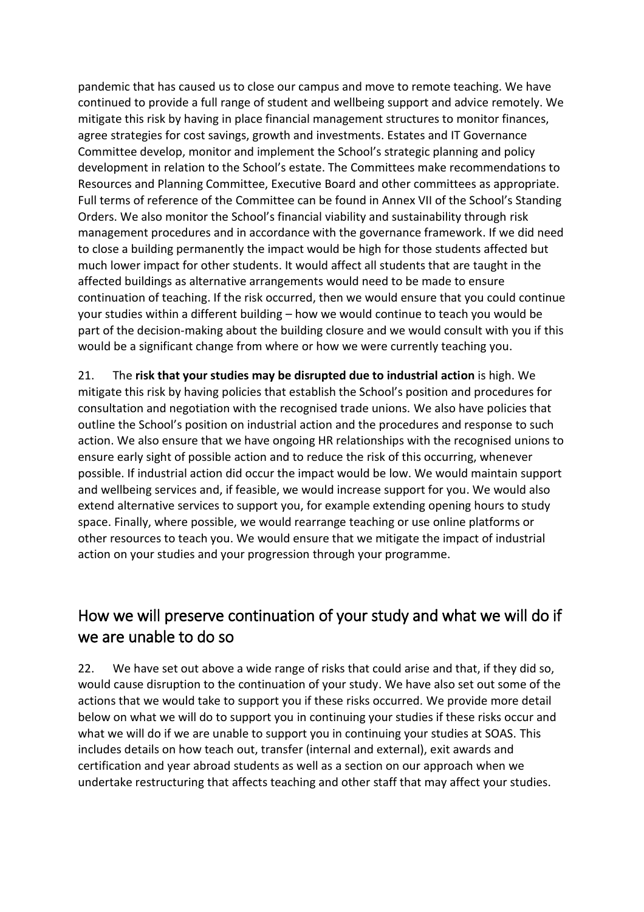pandemic that has caused us to close our campus and move to remote teaching. We have continued to provide a full range of student and wellbeing support and advice remotely. We mitigate this risk by having in place financial management structures to monitor finances, agree strategies for cost savings, growth and investments. Estates and IT Governance Committee develop, monitor and implement the School's strategic planning and policy development in relation to the School's estate. The Committees make recommendations to Resources and Planning Committee, Executive Board and other committees as appropriate. Full terms of reference of the Committee can be found in Annex VII of the School's Standing Orders. We also monitor the School's financial viability and sustainability through risk management procedures and in accordance with the governance framework. If we did need to close a building permanently the impact would be high for those students affected but much lower impact for other students. It would affect all students that are taught in the affected buildings as alternative arrangements would need to be made to ensure continuation of teaching. If the risk occurred, then we would ensure that you could continue your studies within a different building – how we would continue to teach you would be part of the decision-making about the building closure and we would consult with you if this would be a significant change from where or how we were currently teaching you.

<span id="page-7-1"></span>21. The **risk that your studies may be disrupted due to industrial action** is high. We mitigate this risk by having policies that establish the School's position and procedures for consultation and negotiation with the recognised trade unions. We also have policies that outline the School's position on industrial action and the procedures and response to such action. We also ensure that we have ongoing HR relationships with the recognised unions to ensure early sight of possible action and to reduce the risk of this occurring, whenever possible. If industrial action did occur the impact would be low. We would maintain support and wellbeing services and, if feasible, we would increase support for you. We would also extend alternative services to support you, for example extending opening hours to study space. Finally, where possible, we would rearrange teaching or use online platforms or other resources to teach you. We would ensure that we mitigate the impact of industrial action on your studies and your progression through your programme.

# <span id="page-7-0"></span>How we will preserve continuation of your study and what we will do if we are unable to do so

22. We have set out above a wide range of risks that could arise and that, if they did so, would cause disruption to the continuation of your study. We have also set out some of the actions that we would take to support you if these risks occurred. We provide more detail below on what we will do to support you in continuing your studies if these risks occur and what we will do if we are unable to support you in continuing your studies at SOAS. This includes details on how teach out, transfer (internal and external), exit awards and certification and year abroad students as well as a section on our approach when we undertake restructuring that affects teaching and other staff that may affect your studies.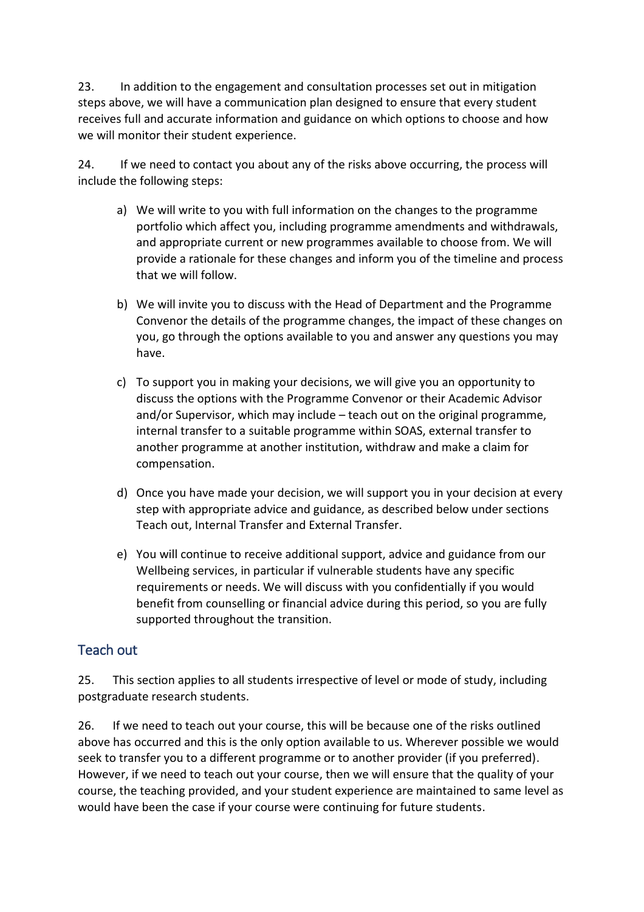23. In addition to the engagement and consultation processes set out in mitigation steps above, we will have a communication plan designed to ensure that every student receives full and accurate information and guidance on which options to choose and how we will monitor their student experience.

24. If we need to contact you about any of the risks above occurring, the process will include the following steps:

- a) We will write to you with full information on the changes to the programme portfolio which affect you, including programme amendments and withdrawals, and appropriate current or new programmes available to choose from. We will provide a rationale for these changes and inform you of the timeline and process that we will follow.
- b) We will invite you to discuss with the Head of Department and the Programme Convenor the details of the programme changes, the impact of these changes on you, go through the options available to you and answer any questions you may have.
- c) To support you in making your decisions, we will give you an opportunity to discuss the options with the Programme Convenor or their Academic Advisor and/or Supervisor, which may include – teach out on the original programme, internal transfer to a suitable programme within SOAS, external transfer to another programme at another institution, withdraw and make a claim for compensation.
- d) Once you have made your decision, we will support you in your decision at every step with appropriate advice and guidance, as described below under sections Teach out, Internal Transfer and External Transfer.
- e) You will continue to receive additional support, advice and guidance from our Wellbeing services, in particular if vulnerable students have any specific requirements or needs. We will discuss with you confidentially if you would benefit from counselling or financial advice during this period, so you are fully supported throughout the transition.

#### <span id="page-8-0"></span>Teach out

25. This section applies to all students irrespective of level or mode of study, including postgraduate research students.

<span id="page-8-1"></span>26. If we need to teach out your course, this will be because one of the risks outlined above has occurred and this is the only option available to us. Wherever possible we would seek to transfer you to a different programme or to another provider (if you preferred). However, if we need to teach out your course, then we will ensure that the quality of your course, the teaching provided, and your student experience are maintained to same level as would have been the case if your course were continuing for future students.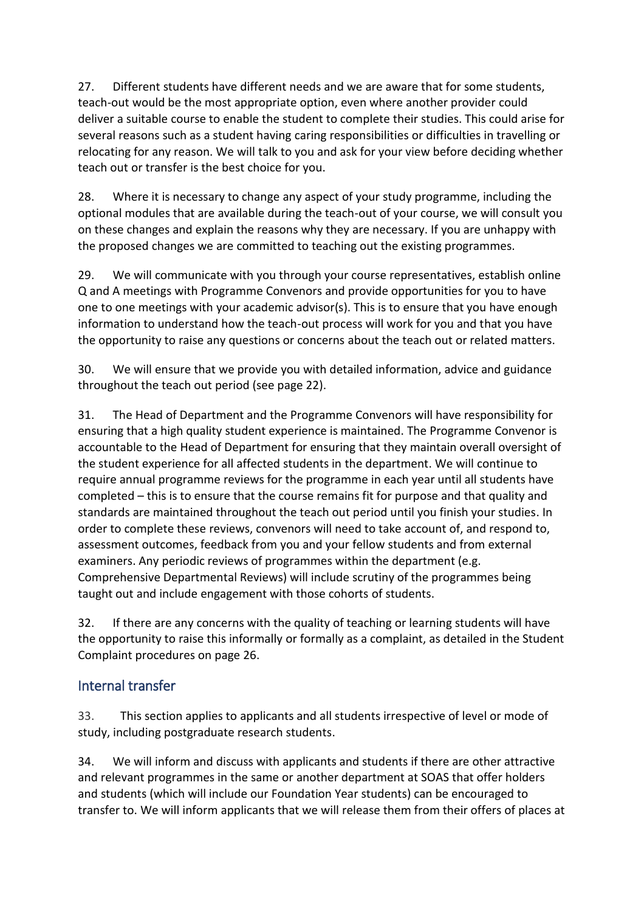27. Different students have different needs and we are aware that for some students, teach-out would be the most appropriate option, even where another provider could deliver a suitable course to enable the student to complete their studies. This could arise for several reasons such as a student having caring responsibilities or difficulties in travelling or relocating for any reason. We will talk to you and ask for your view before deciding whether teach out or transfer is the best choice for you.

28. Where it is necessary to change any aspect of your study programme, including the optional modules that are available during the teach-out of your course, we will consult you on these changes and explain the reasons why they are necessary. If you are unhappy with the proposed changes we are committed to teaching out the existing programmes.

29. We will communicate with you through your course representatives, establish online Q and A meetings with Programme Convenors and provide opportunities for you to have one to one meetings with your academic advisor(s). This is to ensure that you have enough information to understand how the teach-out process will work for you and that you have the opportunity to raise any questions or concerns about the teach out or related matters.

30. We will ensure that we provide you with detailed information, advice and guidance throughout the teach out period (see page 22).

31. The Head of Department and the Programme Convenors will have responsibility for ensuring that a high quality student experience is maintained. The Programme Convenor is accountable to the Head of Department for ensuring that they maintain overall oversight of the student experience for all affected students in the department. We will continue to require annual programme reviews for the programme in each year until all students have completed – this is to ensure that the course remains fit for purpose and that quality and standards are maintained throughout the teach out period until you finish your studies. In order to complete these reviews, convenors will need to take account of, and respond to, assessment outcomes, feedback from you and your fellow students and from external examiners. Any periodic reviews of programmes within the department (e.g. Comprehensive Departmental Reviews) will include scrutiny of the programmes being taught out and include engagement with those cohorts of students.

32. If there are any concerns with the quality of teaching or learning students will have the opportunity to raise this informally or formally as a complaint, as detailed in the Student Complaint procedures on page 26.

#### <span id="page-9-0"></span>Internal transfer

33. This section applies to applicants and all students irrespective of level or mode of study, including postgraduate research students.

34. We will inform and discuss with applicants and students if there are other attractive and relevant programmes in the same or another department at SOAS that offer holders and students (which will include our Foundation Year students) can be encouraged to transfer to. We will inform applicants that we will release them from their offers of places at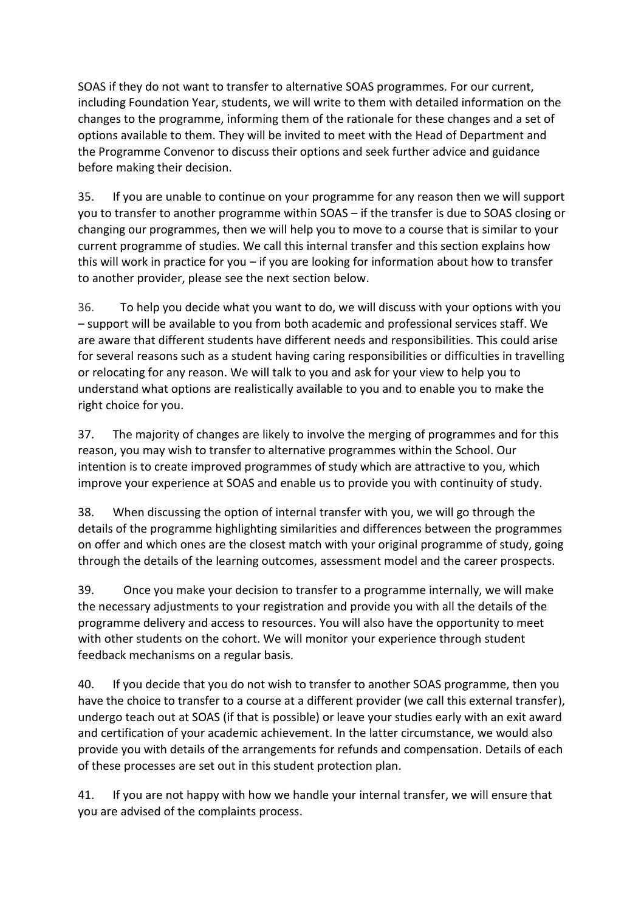SOAS if they do not want to transfer to alternative SOAS programmes. For our current, including Foundation Year, students, we will write to them with detailed information on the changes to the programme, informing them of the rationale for these changes and a set of options available to them. They will be invited to meet with the Head of Department and the Programme Convenor to discuss their options and seek further advice and guidance before making their decision.

35. If you are unable to continue on your programme for any reason then we will support you to transfer to another programme within SOAS – if the transfer is due to SOAS closing or changing our programmes, then we will help you to move to a course that is similar to your current programme of studies. We call this internal transfer and this section explains how this will work in practice for you – if you are looking for information about how to transfer to another provider, please see the next section below.

36. To help you decide what you want to do, we will discuss with your options with you – support will be available to you from both academic and professional services staff. We are aware that different students have different needs and responsibilities. This could arise for several reasons such as a student having caring responsibilities or difficulties in travelling or relocating for any reason. We will talk to you and ask for your view to help you to understand what options are realistically available to you and to enable you to make the right choice for you.

37. The majority of changes are likely to involve the merging of programmes and for this reason, you may wish to transfer to alternative programmes within the School. Our intention is to create improved programmes of study which are attractive to you, which improve your experience at SOAS and enable us to provide you with continuity of study.

38. When discussing the option of internal transfer with you, we will go through the details of the programme highlighting similarities and differences between the programmes on offer and which ones are the closest match with your original programme of study, going through the details of the learning outcomes, assessment model and the career prospects.

39. Once you make your decision to transfer to a programme internally, we will make the necessary adjustments to your registration and provide you with all the details of the programme delivery and access to resources. You will also have the opportunity to meet with other students on the cohort. We will monitor your experience through student feedback mechanisms on a regular basis.

40. If you decide that you do not wish to transfer to another SOAS programme, then you have the choice to transfer to a course at a different provider (we call this external transfer), undergo teach out at SOAS (if that is possible) or leave your studies early with an exit award and certification of your academic achievement. In the latter circumstance, we would also provide you with details of the arrangements for refunds and compensation. Details of each of these processes are set out in this student protection plan.

41. If you are not happy with how we handle your internal transfer, we will ensure that you are advised of the complaints process.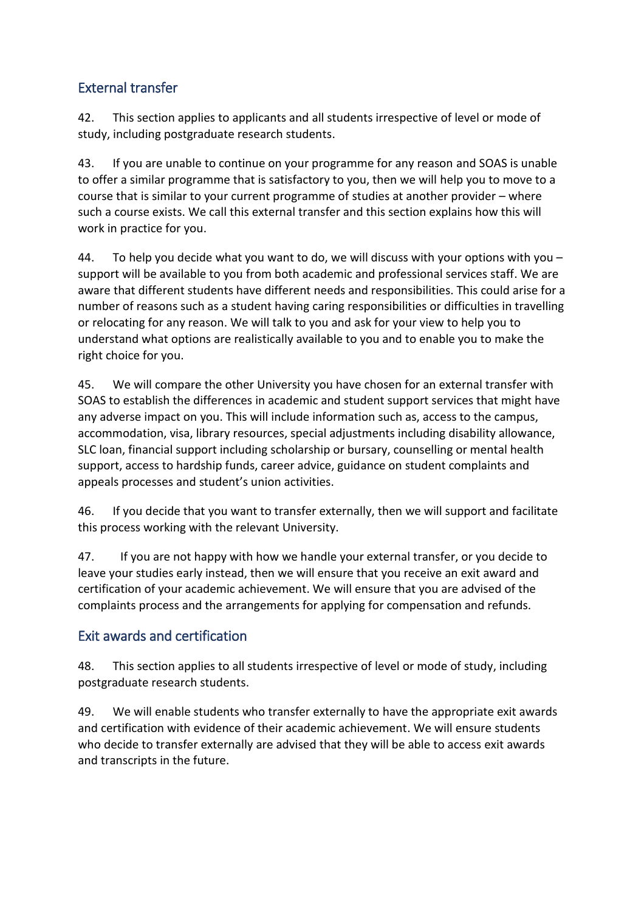### <span id="page-11-0"></span>External transfer

42. This section applies to applicants and all students irrespective of level or mode of study, including postgraduate research students.

43. If you are unable to continue on your programme for any reason and SOAS is unable to offer a similar programme that is satisfactory to you, then we will help you to move to a course that is similar to your current programme of studies at another provider – where such a course exists. We call this external transfer and this section explains how this will work in practice for you.

44. To help you decide what you want to do, we will discuss with your options with you  $$ support will be available to you from both academic and professional services staff. We are aware that different students have different needs and responsibilities. This could arise for a number of reasons such as a student having caring responsibilities or difficulties in travelling or relocating for any reason. We will talk to you and ask for your view to help you to understand what options are realistically available to you and to enable you to make the right choice for you.

45. We will compare the other University you have chosen for an external transfer with SOAS to establish the differences in academic and student support services that might have any adverse impact on you. This will include information such as, access to the campus, accommodation, visa, library resources, special adjustments including disability allowance, SLC loan, financial support including scholarship or bursary, counselling or mental health support, access to hardship funds, career advice, guidance on student complaints and appeals processes and student's union activities.

46. If you decide that you want to transfer externally, then we will support and facilitate this process working with the relevant University.

47. If you are not happy with how we handle your external transfer, or you decide to leave your studies early instead, then we will ensure that you receive an exit award and certification of your academic achievement. We will ensure that you are advised of the complaints process and the arrangements for applying for compensation and refunds.

### <span id="page-11-1"></span>Exit awards and certification

48. This section applies to all students irrespective of level or mode of study, including postgraduate research students.

49. We will enable students who transfer externally to have the appropriate exit awards and certification with evidence of their academic achievement. We will ensure students who decide to transfer externally are advised that they will be able to access exit awards and transcripts in the future.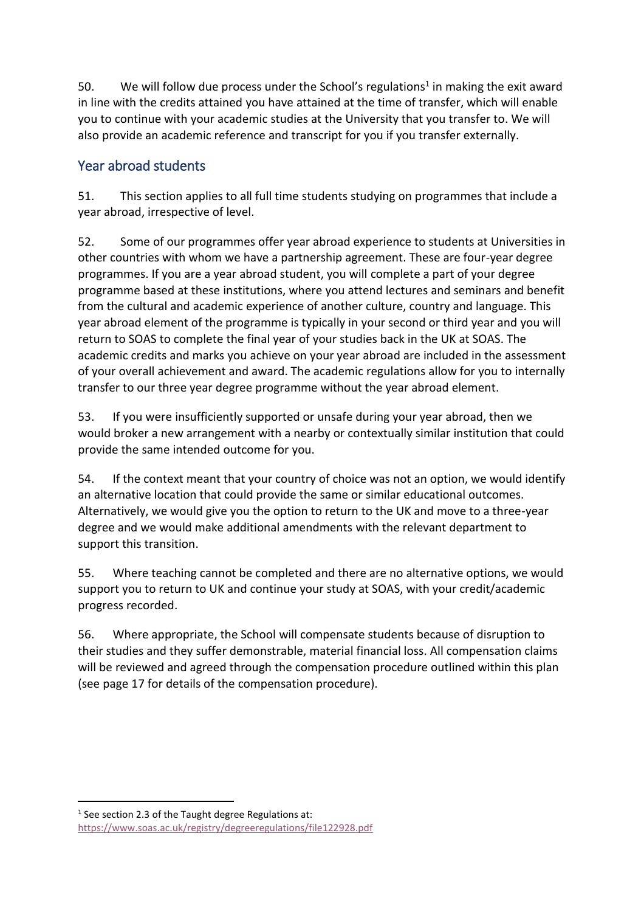50. We will follow due process under the School's regulations<sup>1</sup> in making the exit award in line with the credits attained you have attained at the time of transfer, which will enable you to continue with your academic studies at the University that you transfer to. We will also provide an academic reference and transcript for you if you transfer externally.

### <span id="page-12-0"></span>Year abroad students

<span id="page-12-1"></span>51. This section applies to all full time students studying on programmes that include a year abroad, irrespective of level.

52. Some of our programmes offer year abroad experience to students at Universities in other countries with whom we have a partnership agreement. These are four-year degree programmes. If you are a year abroad student, you will complete a part of your degree programme based at these institutions, where you attend lectures and seminars and benefit from the cultural and academic experience of another culture, country and language. This year abroad element of the programme is typically in your second or third year and you will return to SOAS to complete the final year of your studies back in the UK at SOAS. The academic credits and marks you achieve on your year abroad are included in the assessment of your overall achievement and award. The academic regulations allow for you to internally transfer to our three year degree programme without the year abroad element.

53. If you were insufficiently supported or unsafe during your year abroad, then we would broker a new arrangement with a nearby or contextually similar institution that could provide the same intended outcome for you.

54. If the context meant that your country of choice was not an option, we would identify an alternative location that could provide the same or similar educational outcomes. Alternatively, we would give you the option to return to the UK and move to a three-year degree and we would make additional amendments with the relevant department to support this transition.

55. Where teaching cannot be completed and there are no alternative options, we would support you to return to UK and continue your study at SOAS, with your credit/academic progress recorded.

56. Where appropriate, the School will compensate students because of disruption to their studies and they suffer demonstrable, material financial loss. All compensation claims will be reviewed and agreed through the compensation procedure outlined within this plan (see page 17 for details of the compensation procedure).

 $\overline{a}$  $1$  See section 2.3 of the Taught degree Regulations at: <https://www.soas.ac.uk/registry/degreeregulations/file122928.pdf>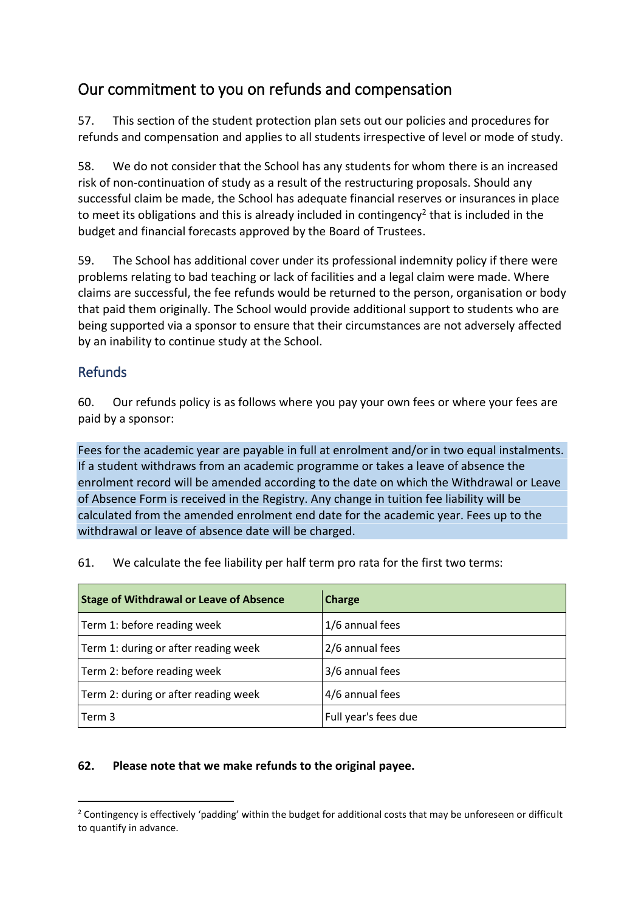# <span id="page-13-0"></span>Our commitment to you on refunds and compensation

57. This section of the student protection plan sets out our policies and procedures for refunds and compensation and applies to all students irrespective of level or mode of study.

58. We do not consider that the School has any students for whom there is an increased risk of non-continuation of study as a result of the restructuring proposals. Should any successful claim be made, the School has adequate financial reserves or insurances in place to meet its obligations and this is already included in contingency<sup>2</sup> that is included in the budget and financial forecasts approved by the Board of Trustees.

59. The School has additional cover under its professional indemnity policy if there were problems relating to bad teaching or lack of facilities and a legal claim were made. Where claims are successful, the fee refunds would be returned to the person, organisation or body that paid them originally. The School would provide additional support to students who are being supported via a sponsor to ensure that their circumstances are not adversely affected by an inability to continue study at the School.

#### <span id="page-13-1"></span>Refunds

60. Our refunds policy is as follows where you pay your own fees or where your fees are paid by a sponsor:

Fees for the academic year are payable in full at enrolment and/or in two equal instalments. If a student withdraws from an academic programme or takes a leave of absence the enrolment record will be amended according to the date on which the Withdrawal or Leave of Absence Form is received in the Registry. Any change in tuition fee liability will be calculated from the amended enrolment end date for the academic year. Fees up to the withdrawal or leave of absence date will be charged.

61. We calculate the fee liability per half term pro rata for the first two terms:

| <b>Stage of Withdrawal or Leave of Absence</b> | Charge               |
|------------------------------------------------|----------------------|
| Term 1: before reading week                    | 1/6 annual fees      |
| Term 1: during or after reading week           | 2/6 annual fees      |
| Term 2: before reading week                    | 3/6 annual fees      |
| Term 2: during or after reading week           | 4/6 annual fees      |
| Term 3                                         | Full year's fees due |

#### **62. Please note that we make refunds to the original payee.**

 $\overline{a}$  $2$  Contingency is effectively 'padding' within the budget for additional costs that may be unforeseen or difficult to quantify in advance.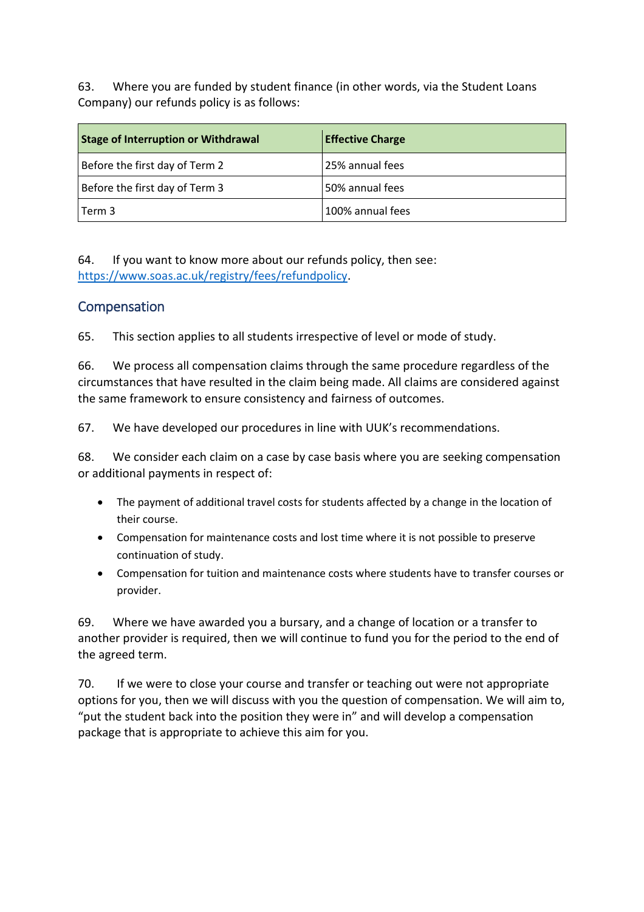63. Where you are funded by student finance (in other words, via the Student Loans Company) our refunds policy is as follows:

| <b>Stage of Interruption or Withdrawal</b> | <b>Effective Charge</b> |
|--------------------------------------------|-------------------------|
| Before the first day of Term 2             | 25% annual fees         |
| Before the first day of Term 3             | 50% annual fees         |
| l Term 3                                   | 100% annual fees        |

64. If you want to know more about our refunds policy, then see: [https://www.soas.ac.uk/registry/fees/refundpolicy.](https://www.soas.ac.uk/registry/fees/refundpolicy)

#### <span id="page-14-0"></span>Compensation

65. This section applies to all students irrespective of level or mode of study.

66. We process all compensation claims through the same procedure regardless of the circumstances that have resulted in the claim being made. All claims are considered against the same framework to ensure consistency and fairness of outcomes.

67. We have developed our procedures in line with UUK's recommendations.

68. We consider each claim on a case by case basis where you are seeking compensation or additional payments in respect of:

- The payment of additional travel costs for students affected by a change in the location of their course.
- Compensation for maintenance costs and lost time where it is not possible to preserve continuation of study.
- Compensation for tuition and maintenance costs where students have to transfer courses or provider.

69. Where we have awarded you a bursary, and a change of location or a transfer to another provider is required, then we will continue to fund you for the period to the end of the agreed term.

<span id="page-14-1"></span>70. If we were to close your course and transfer or teaching out were not appropriate options for you, then we will discuss with you the question of compensation. We will aim to, "put the student back into the position they were in" and will develop a compensation package that is appropriate to achieve this aim for you.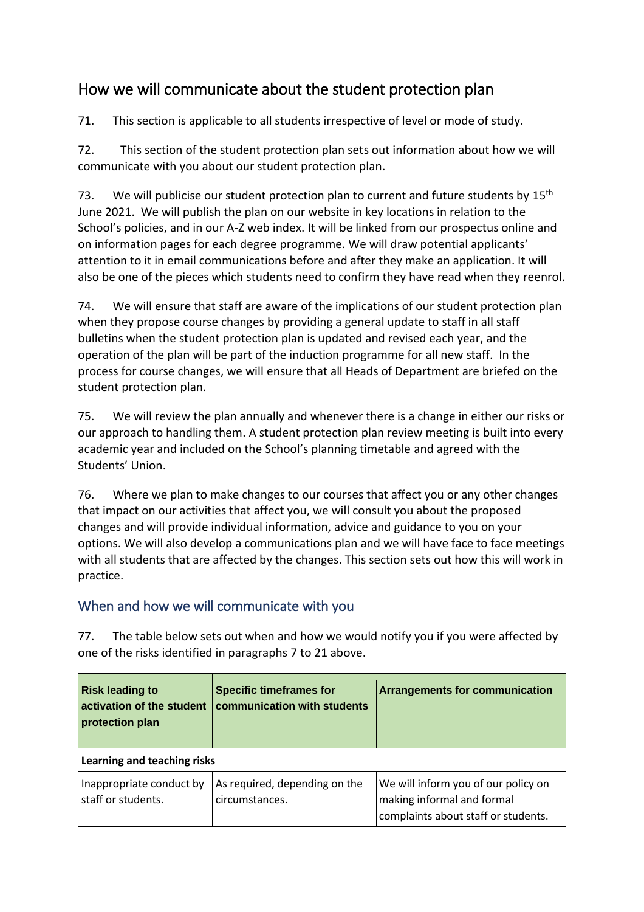# How we will communicate about the student protection plan

71. This section is applicable to all students irrespective of level or mode of study.

72. This section of the student protection plan sets out information about how we will communicate with you about our student protection plan.

73. We will publicise our student protection plan to current and future students by  $15^{\text{th}}$ June 2021. We will publish the plan on our website in key locations in relation to the School's policies, and in our A-Z web index. It will be linked from our prospectus online and on information pages for each degree programme. We will draw potential applicants' attention to it in email communications before and after they make an application. It will also be one of the pieces which students need to confirm they have read when they reenrol.

74. We will ensure that staff are aware of the implications of our student protection plan when they propose course changes by providing a general update to staff in all staff bulletins when the student protection plan is updated and revised each year, and the operation of the plan will be part of the induction programme for all new staff. In the process for course changes, we will ensure that all Heads of Department are briefed on the student protection plan.

75. We will review the plan annually and whenever there is a change in either our risks or our approach to handling them. A student protection plan review meeting is built into every academic year and included on the School's planning timetable and agreed with the Students' Union.

76. Where we plan to make changes to our courses that affect you or any other changes that impact on our activities that affect you, we will consult you about the proposed changes and will provide individual information, advice and guidance to you on your options. We will also develop a communications plan and we will have face to face meetings with all students that are affected by the changes. This section sets out how this will work in practice.

#### <span id="page-15-0"></span>When and how we will communicate with you

77. The table below sets out when and how we would notify you if you were affected by one of the risks identified in paragraphs [7](#page-2-2) to [21](#page-7-1) above.

| <b>Risk leading to</b><br>activation of the student<br>protection plan | <b>Specific timeframes for</b><br>communication with students | <b>Arrangements for communication</b>                                                                    |
|------------------------------------------------------------------------|---------------------------------------------------------------|----------------------------------------------------------------------------------------------------------|
| Learning and teaching risks                                            |                                                               |                                                                                                          |
| Inappropriate conduct by<br>staff or students.                         | As required, depending on the<br>circumstances.               | We will inform you of our policy on<br>making informal and formal<br>complaints about staff or students. |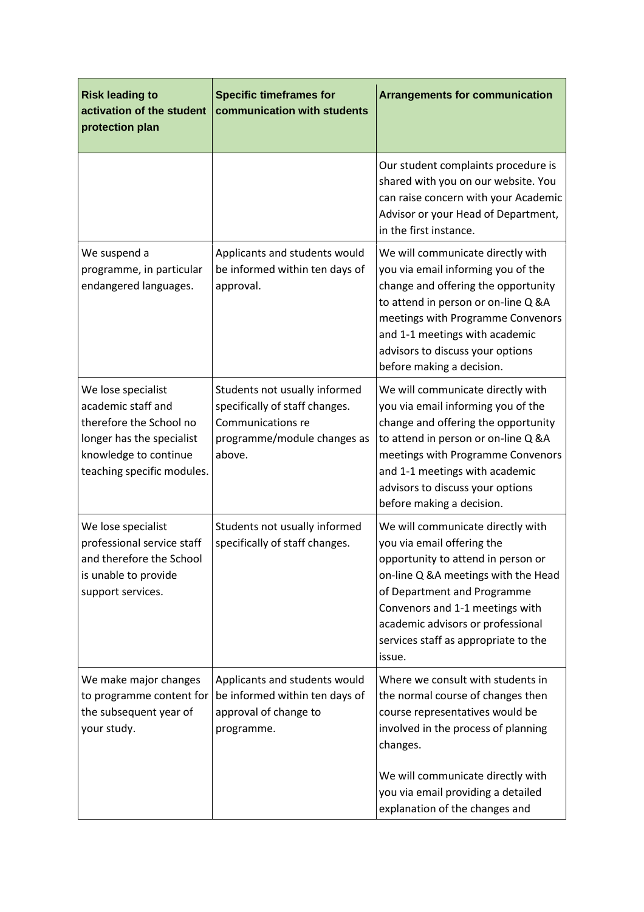| <b>Risk leading to</b><br>activation of the student<br>protection plan                                                                                  | <b>Specific timeframes for</b><br>communication with students                                                                 | <b>Arrangements for communication</b>                                                                                                                                                                                                                                                                 |
|---------------------------------------------------------------------------------------------------------------------------------------------------------|-------------------------------------------------------------------------------------------------------------------------------|-------------------------------------------------------------------------------------------------------------------------------------------------------------------------------------------------------------------------------------------------------------------------------------------------------|
|                                                                                                                                                         |                                                                                                                               | Our student complaints procedure is<br>shared with you on our website. You<br>can raise concern with your Academic<br>Advisor or your Head of Department,<br>in the first instance.                                                                                                                   |
| We suspend a<br>programme, in particular<br>endangered languages.                                                                                       | Applicants and students would<br>be informed within ten days of<br>approval.                                                  | We will communicate directly with<br>you via email informing you of the<br>change and offering the opportunity<br>to attend in person or on-line Q &A<br>meetings with Programme Convenors<br>and 1-1 meetings with academic<br>advisors to discuss your options<br>before making a decision.         |
| We lose specialist<br>academic staff and<br>therefore the School no<br>longer has the specialist<br>knowledge to continue<br>teaching specific modules. | Students not usually informed<br>specifically of staff changes.<br>Communications re<br>programme/module changes as<br>above. | We will communicate directly with<br>you via email informing you of the<br>change and offering the opportunity<br>to attend in person or on-line Q &A<br>meetings with Programme Convenors<br>and 1-1 meetings with academic<br>advisors to discuss your options<br>before making a decision.         |
| We lose specialist<br>professional service staff<br>and therefore the School<br>is unable to provide<br>support services.                               | Students not usually informed<br>specifically of staff changes.                                                               | We will communicate directly with<br>you via email offering the<br>opportunity to attend in person or<br>on-line Q &A meetings with the Head<br>of Department and Programme<br>Convenors and 1-1 meetings with<br>academic advisors or professional<br>services staff as appropriate to the<br>issue. |
| We make major changes<br>to programme content for<br>the subsequent year of<br>your study.                                                              | Applicants and students would<br>be informed within ten days of<br>approval of change to<br>programme.                        | Where we consult with students in<br>the normal course of changes then<br>course representatives would be<br>involved in the process of planning<br>changes.<br>We will communicate directly with<br>you via email providing a detailed<br>explanation of the changes and                             |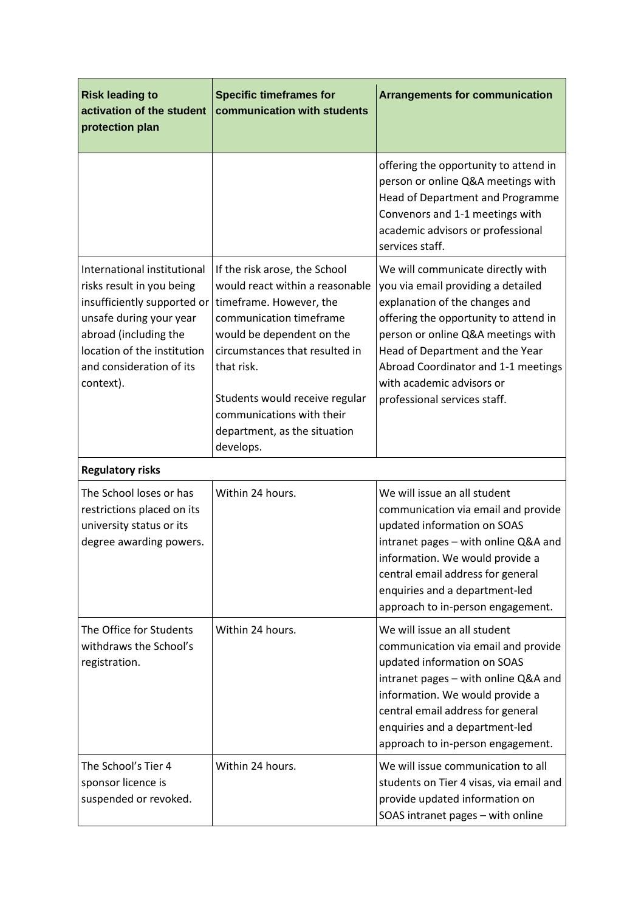| <b>Risk leading to</b><br>activation of the student<br>protection plan                                                                                                                                              | <b>Specific timeframes for</b><br>communication with students                                                                                                                                                                                                                                                   | <b>Arrangements for communication</b>                                                                                                                                                                                                                                                                                           |
|---------------------------------------------------------------------------------------------------------------------------------------------------------------------------------------------------------------------|-----------------------------------------------------------------------------------------------------------------------------------------------------------------------------------------------------------------------------------------------------------------------------------------------------------------|---------------------------------------------------------------------------------------------------------------------------------------------------------------------------------------------------------------------------------------------------------------------------------------------------------------------------------|
|                                                                                                                                                                                                                     |                                                                                                                                                                                                                                                                                                                 | offering the opportunity to attend in<br>person or online Q&A meetings with<br>Head of Department and Programme<br>Convenors and 1-1 meetings with<br>academic advisors or professional<br>services staff.                                                                                                                      |
| International institutional<br>risks result in you being<br>insufficiently supported or<br>unsafe during your year<br>abroad (including the<br>location of the institution<br>and consideration of its<br>context). | If the risk arose, the School<br>would react within a reasonable<br>timeframe. However, the<br>communication timeframe<br>would be dependent on the<br>circumstances that resulted in<br>that risk.<br>Students would receive regular<br>communications with their<br>department, as the situation<br>develops. | We will communicate directly with<br>you via email providing a detailed<br>explanation of the changes and<br>offering the opportunity to attend in<br>person or online Q&A meetings with<br>Head of Department and the Year<br>Abroad Coordinator and 1-1 meetings<br>with academic advisors or<br>professional services staff. |
| <b>Regulatory risks</b>                                                                                                                                                                                             |                                                                                                                                                                                                                                                                                                                 |                                                                                                                                                                                                                                                                                                                                 |
| The School loses or has<br>restrictions placed on its<br>university status or its<br>degree awarding powers.                                                                                                        | Within 24 hours.                                                                                                                                                                                                                                                                                                | We will issue an all student<br>communication via email and provide<br>updated information on SOAS<br>intranet pages - with online Q&A and<br>information. We would provide a<br>central email address for general<br>enquiries and a department-led<br>approach to in-person engagement.                                       |
| The Office for Students<br>withdraws the School's<br>registration.                                                                                                                                                  | Within 24 hours.                                                                                                                                                                                                                                                                                                | We will issue an all student<br>communication via email and provide<br>updated information on SOAS<br>intranet pages - with online Q&A and<br>information. We would provide a<br>central email address for general<br>enquiries and a department-led<br>approach to in-person engagement.                                       |
| The School's Tier 4<br>sponsor licence is<br>suspended or revoked.                                                                                                                                                  | Within 24 hours.                                                                                                                                                                                                                                                                                                | We will issue communication to all<br>students on Tier 4 visas, via email and<br>provide updated information on<br>SOAS intranet pages - with online                                                                                                                                                                            |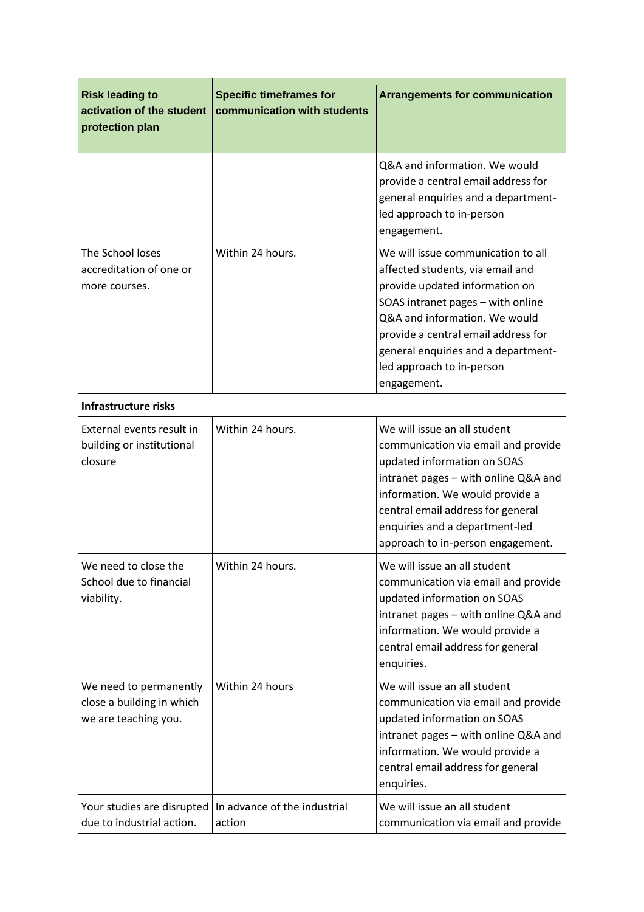| <b>Risk leading to</b><br>activation of the student<br>protection plan      | <b>Specific timeframes for</b><br>communication with students | <b>Arrangements for communication</b>                                                                                                                                                                                                                                                                    |
|-----------------------------------------------------------------------------|---------------------------------------------------------------|----------------------------------------------------------------------------------------------------------------------------------------------------------------------------------------------------------------------------------------------------------------------------------------------------------|
|                                                                             |                                                               | Q&A and information. We would<br>provide a central email address for<br>general enquiries and a department-<br>led approach to in-person<br>engagement.                                                                                                                                                  |
| The School loses<br>accreditation of one or<br>more courses.                | Within 24 hours.                                              | We will issue communication to all<br>affected students, via email and<br>provide updated information on<br>SOAS intranet pages - with online<br>Q&A and information. We would<br>provide a central email address for<br>general enquiries and a department-<br>led approach to in-person<br>engagement. |
| <b>Infrastructure risks</b>                                                 |                                                               |                                                                                                                                                                                                                                                                                                          |
| External events result in<br>building or institutional<br>closure           | Within 24 hours.                                              | We will issue an all student<br>communication via email and provide<br>updated information on SOAS<br>intranet pages - with online Q&A and<br>information. We would provide a<br>central email address for general<br>enquiries and a department-led<br>approach to in-person engagement.                |
| We need to close the<br>School due to financial<br>viability.               | Within 24 hours.                                              | We will issue an all student<br>communication via email and provide<br>updated information on SOAS<br>intranet pages - with online Q&A and<br>information. We would provide a<br>central email address for general<br>enquiries.                                                                         |
| We need to permanently<br>close a building in which<br>we are teaching you. | Within 24 hours                                               | We will issue an all student<br>communication via email and provide<br>updated information on SOAS<br>intranet pages - with online Q&A and<br>information. We would provide a<br>central email address for general<br>enquiries.                                                                         |
| Your studies are disrupted<br>due to industrial action.                     | In advance of the industrial<br>action                        | We will issue an all student<br>communication via email and provide                                                                                                                                                                                                                                      |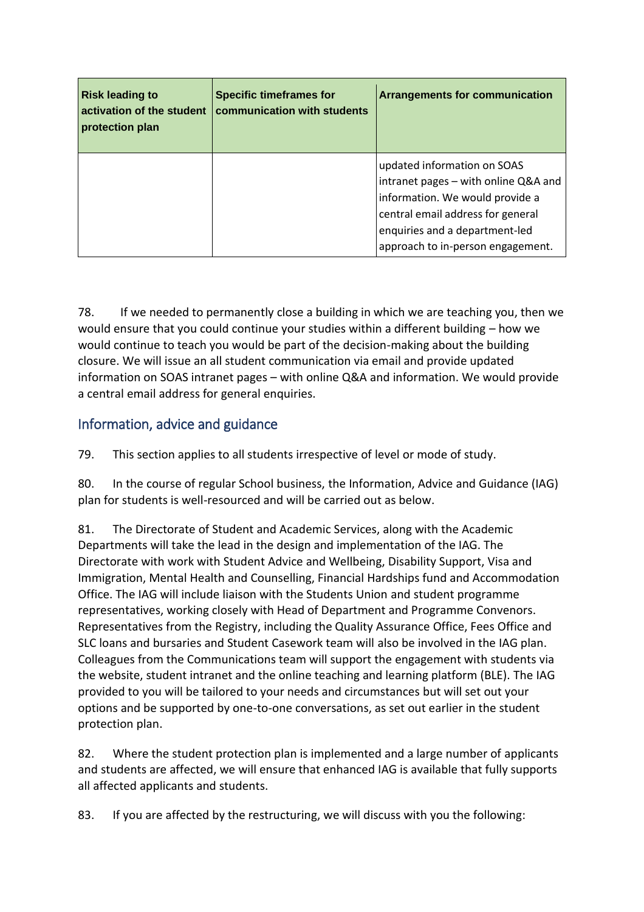| <b>Risk leading to</b><br>activation of the student<br>protection plan | <b>Specific timeframes for</b><br>communication with students | <b>Arrangements for communication</b>                                                                                                                                                                              |
|------------------------------------------------------------------------|---------------------------------------------------------------|--------------------------------------------------------------------------------------------------------------------------------------------------------------------------------------------------------------------|
|                                                                        |                                                               | updated information on SOAS<br>intranet pages - with online Q&A and<br>information. We would provide a<br>central email address for general<br>enquiries and a department-led<br>approach to in-person engagement. |

78. If we needed to permanently close a building in which we are teaching you, then we would ensure that you could continue your studies within a different building – how we would continue to teach you would be part of the decision-making about the building closure. We will issue an all student communication via email and provide updated information on SOAS intranet pages – with online Q&A and information. We would provide a central email address for general enquiries.

### <span id="page-19-0"></span>Information, advice and guidance

79. This section applies to all students irrespective of level or mode of study.

80. In the course of regular School business, the Information, Advice and Guidance (IAG) plan for students is well-resourced and will be carried out as below.

81. The Directorate of Student and Academic Services, along with the Academic Departments will take the lead in the design and implementation of the IAG. The Directorate with work with Student Advice and Wellbeing, Disability Support, Visa and Immigration, Mental Health and Counselling, Financial Hardships fund and Accommodation Office. The IAG will include liaison with the Students Union and student programme representatives, working closely with Head of Department and Programme Convenors. Representatives from the Registry, including the Quality Assurance Office, Fees Office and SLC loans and bursaries and Student Casework team will also be involved in the IAG plan. Colleagues from the Communications team will support the engagement with students via the website, student intranet and the online teaching and learning platform (BLE). The IAG provided to you will be tailored to your needs and circumstances but will set out your options and be supported by one-to-one conversations, as set out earlier in the student protection plan.

82. Where the student protection plan is implemented and a large number of applicants and students are affected, we will ensure that enhanced IAG is available that fully supports all affected applicants and students.

83. If you are affected by the restructuring, we will discuss with you the following: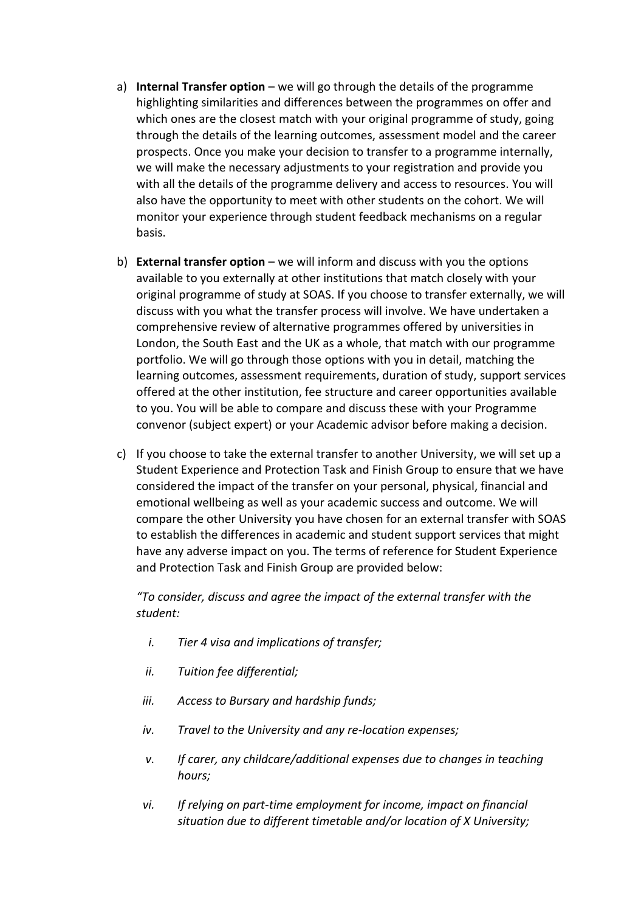- a) **Internal Transfer option** we will go through the details of the programme highlighting similarities and differences between the programmes on offer and which ones are the closest match with your original programme of study, going through the details of the learning outcomes, assessment model and the career prospects. Once you make your decision to transfer to a programme internally, we will make the necessary adjustments to your registration and provide you with all the details of the programme delivery and access to resources. You will also have the opportunity to meet with other students on the cohort. We will monitor your experience through student feedback mechanisms on a regular basis.
- b) **External transfer option** we will inform and discuss with you the options available to you externally at other institutions that match closely with your original programme of study at SOAS. If you choose to transfer externally, we will discuss with you what the transfer process will involve. We have undertaken a comprehensive review of alternative programmes offered by universities in London, the South East and the UK as a whole, that match with our programme portfolio. We will go through those options with you in detail, matching the learning outcomes, assessment requirements, duration of study, support services offered at the other institution, fee structure and career opportunities available to you. You will be able to compare and discuss these with your Programme convenor (subject expert) or your Academic advisor before making a decision.
- c) If you choose to take the external transfer to another University, we will set up a Student Experience and Protection Task and Finish Group to ensure that we have considered the impact of the transfer on your personal, physical, financial and emotional wellbeing as well as your academic success and outcome. We will compare the other University you have chosen for an external transfer with SOAS to establish the differences in academic and student support services that might have any adverse impact on you. The terms of reference for Student Experience and Protection Task and Finish Group are provided below:

*"To consider, discuss and agree the impact of the external transfer with the student:*

- *i. Tier 4 visa and implications of transfer;*
- *ii. Tuition fee differential;*
- *iii. Access to Bursary and hardship funds;*
- *iv. Travel to the University and any re-location expenses;*
- *v. If carer, any childcare/additional expenses due to changes in teaching hours;*
- *vi. If relying on part-time employment for income, impact on financial situation due to different timetable and/or location of X University;*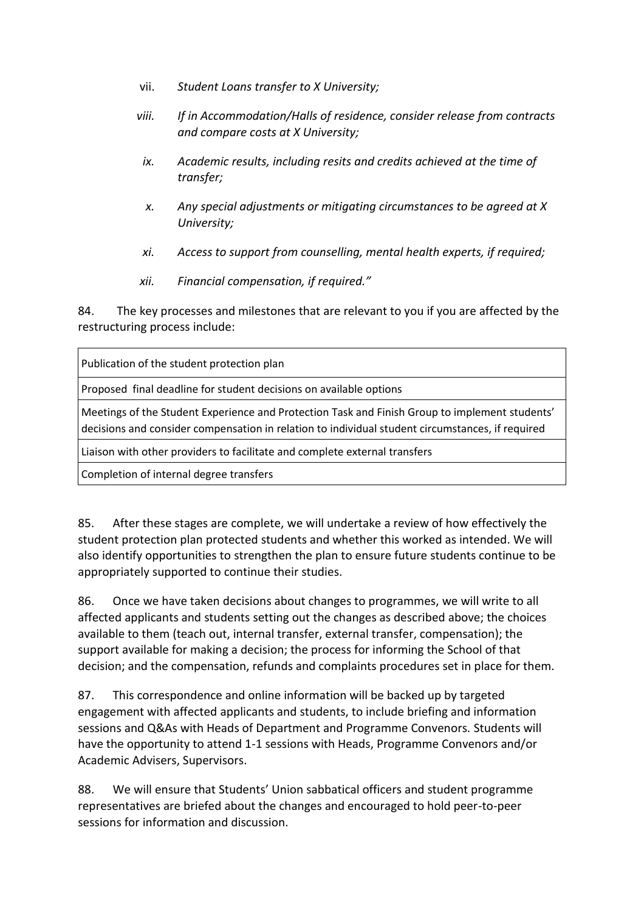- vii. *Student Loans transfer to X University;*
- *viii. If in Accommodation/Halls of residence, consider release from contracts and compare costs at X University;*
- *ix. Academic results, including resits and credits achieved at the time of transfer;*
- *x. Any special adjustments or mitigating circumstances to be agreed at X University;*
- *xi. Access to support from counselling, mental health experts, if required;*
- *xii. Financial compensation, if required."*

84. The key processes and milestones that are relevant to you if you are affected by the restructuring process include:

| Publication of the student protection plan                                                                                                                                                         |
|----------------------------------------------------------------------------------------------------------------------------------------------------------------------------------------------------|
| Proposed final deadline for student decisions on available options                                                                                                                                 |
| Meetings of the Student Experience and Protection Task and Finish Group to implement students'<br>decisions and consider compensation in relation to individual student circumstances, if required |
| Liaison with other providers to facilitate and complete external transfers                                                                                                                         |
| Completion of internal degree transfers                                                                                                                                                            |

85. After these stages are complete, we will undertake a review of how effectively the student protection plan protected students and whether this worked as intended. We will also identify opportunities to strengthen the plan to ensure future students continue to be appropriately supported to continue their studies.

86. Once we have taken decisions about changes to programmes, we will write to all affected applicants and students setting out the changes as described above; the choices available to them (teach out, internal transfer, external transfer, compensation); the support available for making a decision; the process for informing the School of that decision; and the compensation, refunds and complaints procedures set in place for them.

87. This correspondence and online information will be backed up by targeted engagement with affected applicants and students, to include briefing and information sessions and Q&As with Heads of Department and Programme Convenors. Students will have the opportunity to attend 1-1 sessions with Heads, Programme Convenors and/or Academic Advisers, Supervisors.

88. We will ensure that Students' Union sabbatical officers and student programme representatives are briefed about the changes and encouraged to hold peer-to-peer sessions for information and discussion.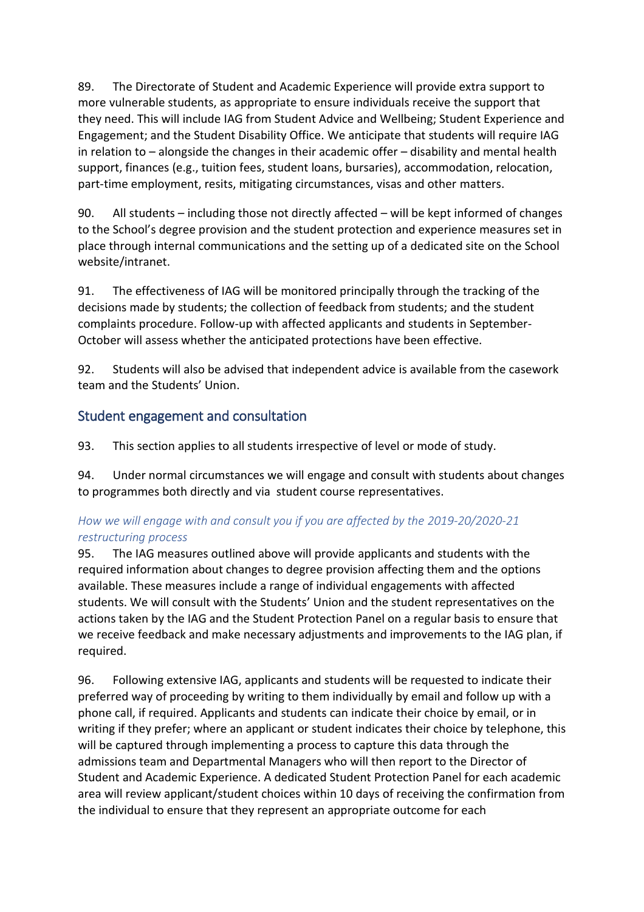89. The Directorate of Student and Academic Experience will provide extra support to more vulnerable students, as appropriate to ensure individuals receive the support that they need. This will include IAG from Student Advice and Wellbeing; Student Experience and Engagement; and the Student Disability Office. We anticipate that students will require IAG in relation to – alongside the changes in their academic offer – disability and mental health support, finances (e.g., tuition fees, student loans, bursaries), accommodation, relocation, part-time employment, resits, mitigating circumstances, visas and other matters.

90. All students – including those not directly affected – will be kept informed of changes to the School's degree provision and the student protection and experience measures set in place through internal communications and the setting up of a dedicated site on the School website/intranet.

91. The effectiveness of IAG will be monitored principally through the tracking of the decisions made by students; the collection of feedback from students; and the student complaints procedure. Follow-up with affected applicants and students in September-October will assess whether the anticipated protections have been effective.

92. Students will also be advised that independent advice is available from the casework team and the Students' Union.

### <span id="page-22-0"></span>Student engagement and consultation

93. This section applies to all students irrespective of level or mode of study.

94. Under normal circumstances we will engage and consult with students about changes to programmes both directly and via student course representatives.

#### *How we will engage with and consult you if you are affected by the 2019-20/2020-21 restructuring process*

95. The IAG measures outlined above will provide applicants and students with the required information about changes to degree provision affecting them and the options available. These measures include a range of individual engagements with affected students. We will consult with the Students' Union and the student representatives on the actions taken by the IAG and the Student Protection Panel on a regular basis to ensure that we receive feedback and make necessary adjustments and improvements to the IAG plan, if required.

96. Following extensive IAG, applicants and students will be requested to indicate their preferred way of proceeding by writing to them individually by email and follow up with a phone call, if required. Applicants and students can indicate their choice by email, or in writing if they prefer; where an applicant or student indicates their choice by telephone, this will be captured through implementing a process to capture this data through the admissions team and Departmental Managers who will then report to the Director of Student and Academic Experience. A dedicated Student Protection Panel for each academic area will review applicant/student choices within 10 days of receiving the confirmation from the individual to ensure that they represent an appropriate outcome for each